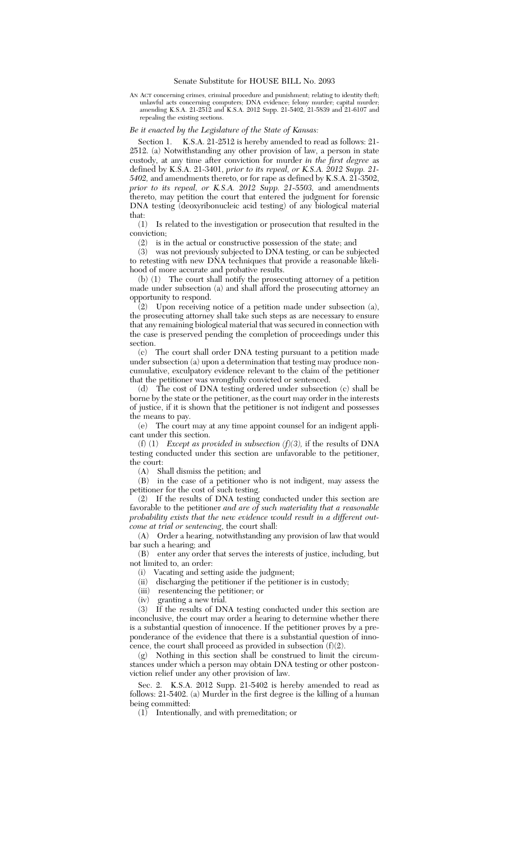## Senate Substitute for HOUSE BILL No. 2093

AN ACT concerning crimes, criminal procedure and punishment; relating to identity theft; unlawful acts concerning computers; DNA evidence; felony murder; capital murder; amending K.S.A. 21-2512 and K.S.A. 2012 Supp. 21-5402, 21-5839 and 21-6107 and repealing the existing sections.

## *Be it enacted by the Legislature of the State of Kansas:*

Section 1. K.S.A. 21-2512 is hereby amended to read as follows: 21- 2512. (a) Notwithstanding any other provision of law, a person in state custody, at any time after conviction for murder *in the first degree* as defined by K.S.A. 21-3401, *prior to its repeal, or K.S.A. 2012 Supp. 21- 5402,* and amendments thereto, or for rape as defined by K.S.A. 21-3502, *prior to its repeal, or K.S.A. 2012 Supp. 21-5503,* and amendments thereto, may petition the court that entered the judgment for forensic DNA testing (deoxyribonucleic acid testing) of any biological material

that:<br> $(1)$ Is related to the investigation or prosecution that resulted in the conviction;

(2) is in the actual or constructive possession of the state; and (3) was not previously subjected to DNA testing, or can be sub

was not previously subjected to DNA testing, or can be subjected to retesting with new DNA techniques that provide a reasonable likelihood of more accurate and probative results.

(b) (1) The court shall notify the prosecuting attorney of a petition made under subsection (a) and shall afford the prosecuting attorney an opportunity to respond.

(2) Upon receiving notice of a petition made under subsection (a), the prosecuting attorney shall take such steps as are necessary to ensure that any remaining biological material that was secured in connection with the case is preserved pending the completion of proceedings under this section.

(c) The court shall order DNA testing pursuant to a petition made under subsection (a) upon a determination that testing may produce noncumulative, exculpatory evidence relevant to the claim of the petitioner that the petitioner was wrongfully convicted or sentenced.

(d) The cost of DNA testing ordered under subsection (c) shall be borne by the state or the petitioner, as the court may order in the interests of justice, if it is shown that the petitioner is not indigent and possesses the means to pay.

(e) The court may at any time appoint counsel for an indigent applicant under this section.

(f) (1) *Except as provided in subsection (f)(3),* if the results of DNA testing conducted under this section are unfavorable to the petitioner, the court:

(A) Shall dismiss the petition; and

(B) in the case of a petitioner who is not indigent, may assess the petitioner for the cost of such testing.

(2) If the results of DNA testing conducted under this section are favorable to the petitioner *and are of such materiality that a reasonable probability exists that the new evidence would result in a different outcome at trial or sentencing*, the court shall:

(A) Order a hearing, notwithstanding any provision of law that would bar such a hearing; and

(B) enter any order that serves the interests of justice, including, but not limited to, an order:

(i) Vacating and setting aside the judgment;

(ii) discharging the petitioner if the petitioner is in custody;

(iii) resentencing the petitioner; or

(iv) granting a new trial.<br>(3) If the results of DN

If the results of DNA testing conducted under this section are inconclusive, the court may order a hearing to determine whether there is a substantial question of innocence. If the petitioner proves by a preponderance of the evidence that there is a substantial question of innocence, the court shall proceed as provided in subsection  $(f)(2)$ .

(g) Nothing in this section shall be construed to limit the circumstances under which a person may obtain DNA testing or other postconviction relief under any other provision of law.

Sec. 2. K.S.A. 2012 Supp. 21-5402 is hereby amended to read as follows: 21-5402. (a) Murder in the first degree is the killing of a human being committed:

 $(1)$  Intentionally, and with premeditation; or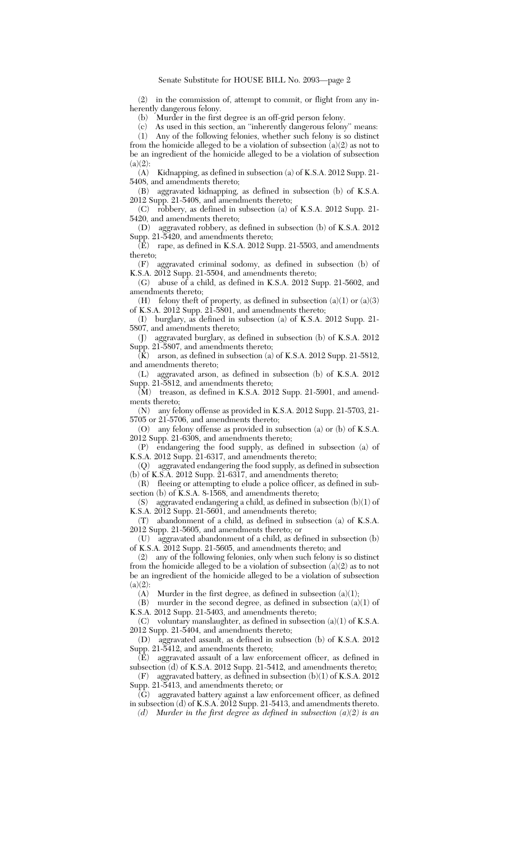(2) in the commission of, attempt to commit, or flight from any inherently dangerous felony.

(b) Murder in the first degree is an off-grid person felony.

(c) As used in this section, an ''inherently dangerous felony'' means:

(1) Any of the following felonies, whether such felony is so distinct from the homicide alleged to be a violation of subsection (a)(2) as not to be an ingredient of the homicide alleged to be a violation of subsection  $(a)(2)$ :

(A) Kidnapping, as defined in subsection (a) of K.S.A. 2012 Supp. 21- 5408, and amendments thereto;

(B) aggravated kidnapping, as defined in subsection (b) of K.S.A. 2012 Supp. 21-5408, and amendments thereto;

(C) robbery, as defined in subsection (a) of K.S.A. 2012 Supp. 21- 5420, and amendments thereto;

(D) aggravated robbery, as defined in subsection (b) of K.S.A. 2012 Supp. 21-5420, and amendments thereto;

 $\overline{E}$  rape, as defined in K.S.A. 2012 Supp. 21-5503, and amendments thereto;

(F) aggravated criminal sodomy, as defined in subsection (b) of K.S.A. 2012 Supp. 21-5504, and amendments thereto;

(G) abuse of a child, as defined in K.S.A. 2012 Supp. 21-5602, and amendments thereto;

(H) felony theft of property, as defined in subsection  $(a)(1)$  or  $(a)(3)$ of K.S.A. 2012 Supp. 21-5801, and amendments thereto;

(I) burglary, as defined in subsection (a) of K.S.A. 2012 Supp. 21- 5807, and amendments thereto;

(J) aggravated burglary, as defined in subsection (b) of K.S.A. 2012 Supp. 21-5807, and amendments thereto;

 $\overline{K}$ ) arson, as defined in subsection (a) of K.S.A. 2012 Supp. 21-5812, and amendments thereto;

(L) aggravated arson, as defined in subsection (b) of K.S.A. 2012 Supp. 21-5812, and amendments thereto;

 $(M)$  treason, as defined in K.S.A. 2012 Supp. 21-5901, and amendments thereto;

(N) any felony offense as provided in K.S.A. 2012 Supp. 21-5703, 21- 5705 or 21-5706, and amendments thereto;

(O) any felony offense as provided in subsection (a) or (b) of K.S.A. 2012 Supp. 21-6308, and amendments thereto;

(P) endangering the food supply, as defined in subsection (a) of K.S.A. 2012 Supp. 21-6317, and amendments thereto;

(Q) aggravated endangering the food supply, as defined in subsection (b) of K.S.A. 2012 Supp. 21-6317, and amendments thereto;

(R) fleeing or attempting to elude a police officer, as defined in subsection (b) of K.S.A. 8-1568, and amendments thereto;

(S) aggravated endangering a child, as defined in subsection  $(b)(1)$  of K.S.A. 2012 Supp. 21-5601, and amendments thereto;

(T) abandonment of a child, as defined in subsection (a) of K.S.A. 2012 Supp. 21-5605, and amendments thereto; or

(U) aggravated abandonment of a child, as defined in subsection (b) of K.S.A. 2012 Supp. 21-5605, and amendments thereto; and

(2) any of the following felonies, only when such felony is so distinct from the homicide alleged to be a violation of subsection (a)(2) as to not be an ingredient of the homicide alleged to be a violation of subsection  $(a)(2)$ :

(A) Murder in the first degree, as defined in subsection  $(a)(1)$ ;

 $(B)$  murder in the second degree, as defined in subsection  $(a)(1)$  of K.S.A. 2012 Supp. 21-5403, and amendments thereto;

(C) voluntary manslaughter, as defined in subsection (a)(1) of K.S.A. 2012 Supp. 21-5404, and amendments thereto;

(D) aggravated assault, as defined in subsection (b) of K.S.A. 2012 Supp. 21-5412, and amendments thereto;

(E) aggravated assault of a law enforcement officer, as defined in subsection (d) of K.S.A. 2012 Supp. 21-5412, and amendments thereto;

(F) aggravated battery, as defined in subsection (b)(1) of K.S.A. 2012 Supp. 21-5413, and amendments thereto; or

(G) aggravated battery against a law enforcement officer, as defined in subsection (d) of K.S.A. 2012 Supp. 21-5413, and amendments thereto.

*(d) Murder in the first degree as defined in subsection (a)(2) is an*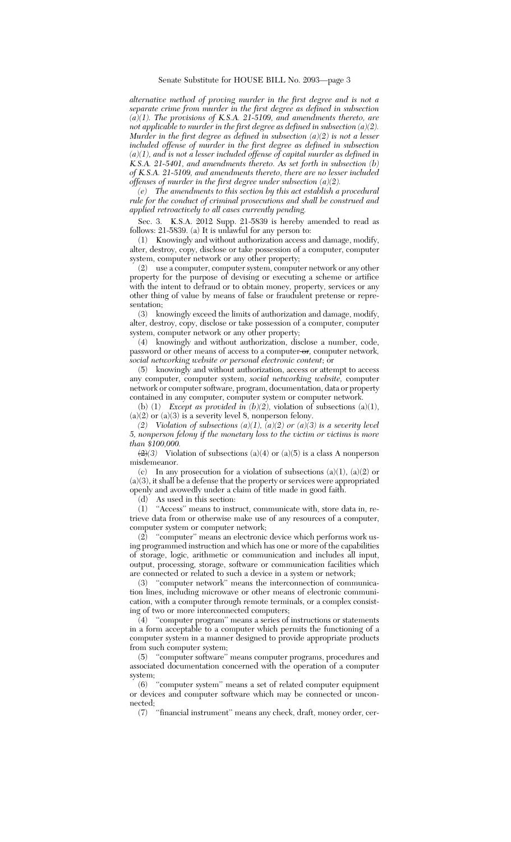*alternative method of proving murder in the first degree and is not a separate crime from murder in the first degree as defined in subsection (a)(1). The provisions of K.S.A. 21-5109, and amendments thereto, are not applicable to murder in the first degree as defined in subsection (a)(2). Murder in the first degree as defined in subsection (a)(2) is not a lesser included offense of murder in the first degree as defined in subsection (a)(1), and is not a lesser included offense of capital murder as defined in K.S.A. 21-5401, and amendments thereto. As set forth in subsection (b) of K.S.A. 21-5109, and amendments thereto, there are no lesser included offenses of murder in the first degree under subsection (a)(2).*

*(e) The amendments to this section by this act establish a procedural rule for the conduct of criminal prosecutions and shall be construed and applied retroactively to all cases currently pending.*

Sec. 3. K.S.A. 2012 Supp. 21-5839 is hereby amended to read as follows: 21-5839. (a) It is unlawful for any person to:

(1) Knowingly and without authorization access and damage, modify, alter, destroy, copy, disclose or take possession of a computer, computer system, computer network or any other property;

(2) use a computer, computer system, computer network or any other property for the purpose of devising or executing a scheme or artifice with the intent to defraud or to obtain money, property, services or any other thing of value by means of false or fraudulent pretense or representation;

(3) knowingly exceed the limits of authorization and damage, modify, alter, destroy, copy, disclose or take possession of a computer, computer system, computer network or any other property;

(4) knowingly and without authorization, disclose a number, code, password or other means of access to a computer or*,* computer network*, social networking website or personal electronic content*; or

(5) knowingly and without authorization, access or attempt to access any computer, computer system, *social networking website,* computer network or computer software, program, documentation, data or property contained in any computer, computer system or computer network.

(b) (1) *Except as provided in*  $(b)(2)$ *, violation of subsections (a)(1),*  ${\rm (a)}(2)$  or  ${\rm (a)}(3)$  is a severity level 8, nonperson felony.

*(2) Violation of subsections*  $(a)(1)$ *,*  $(a)(2)$  *or*  $(a)(3)$  *is a severity level 5, nonperson felony if the monetary loss to the victim or victims is more than \$100,000.*

 $\left(\frac{2}{3}\right)$  Violation of subsections (a)(4) or (a)(5) is a class A nonperson misdemeanor.

(c) In any prosecution for a violation of subsections  $(a)(1)$ ,  $(a)(2)$  or (a)(3), it shall be a defense that the property or services were appropriated openly and avowedly under a claim of title made in good faith.

(d) As used in this section:

(1) ''Access'' means to instruct, communicate with, store data in, retrieve data from or otherwise make use of any resources of a computer, computer system or computer network;

(2) ''computer'' means an electronic device which performs work using programmed instruction and which has one or more of the capabilities of storage, logic, arithmetic or communication and includes all input, output, processing, storage, software or communication facilities which are connected or related to such a device in a system or network;

(3) ''computer network'' means the interconnection of communication lines, including microwave or other means of electronic communication, with a computer through remote terminals, or a complex consisting of two or more interconnected computers;

 $(4)$  "computer program" means a series of instructions or statements in a form acceptable to a computer which permits the functioning of a computer system in a manner designed to provide appropriate products from such computer system;

(5) ''computer software'' means computer programs, procedures and associated documentation concerned with the operation of a computer system;

(6) ''computer system'' means a set of related computer equipment or devices and computer software which may be connected or unconnected;

(7) ''financial instrument'' means any check, draft, money order, cer-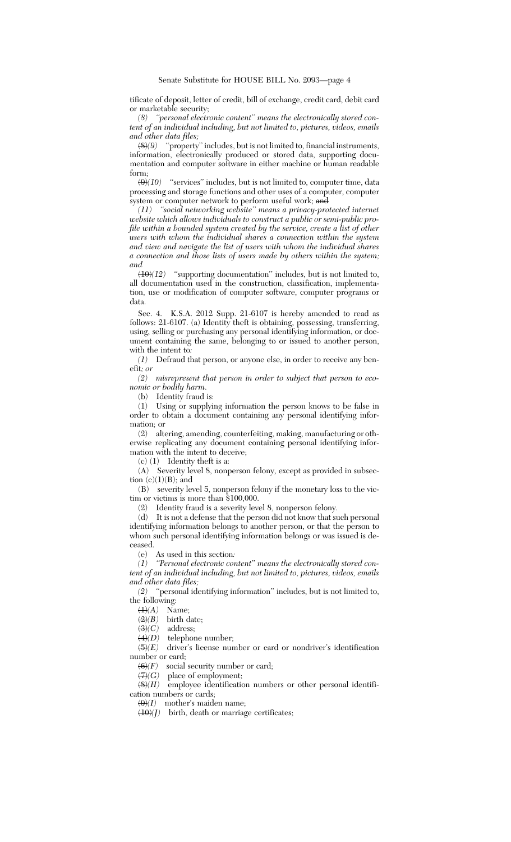tificate of deposit, letter of credit, bill of exchange, credit card, debit card or marketable security;

*(8) ''personal electronic content'' means the electronically stored content of an individual including, but not limited to, pictures, videos, emails and other data files;*

(8)*(9)* ''property'' includes, but is not limited to, financial instruments, information, electronically produced or stored data, supporting documentation and computer software in either machine or human readable form;

 $\left(\frac{\Theta}{10}\right)$  "services" includes, but is not limited to, computer time, data processing and storage functions and other uses of a computer, computer system or computer network to perform useful work; and

*(11) ''social networking website'' means a privacy-protected internet website which allows individuals to construct a public or semi-public profile within a bounded system created by the service, create a list of other users with whom the individual shares a connection within the system and view and navigate the list of users with whom the individual shares a connection and those lists of users made by others within the system; and*

(10)*(12)* ''supporting documentation'' includes, but is not limited to, all documentation used in the construction, classification, implementation, use or modification of computer software, computer programs or data.

Sec. 4. K.S.A. 2012 Supp. 21-6107 is hereby amended to read as follows: 21-6107. (a) Identity theft is obtaining, possessing, transferring, using, selling or purchasing any personal identifying information, or document containing the same, belonging to or issued to another person, with the intent to*:*

*(1)* Defraud that person, or anyone else, in order to receive any benefit*; or*

*(2) misrepresent that person in order to subject that person to economic or bodily harm*.

(b) Identity fraud is:

(1) Using or supplying information the person knows to be false in order to obtain a document containing any personal identifying information; or

(2) altering, amending, counterfeiting, making, manufacturing or otherwise replicating any document containing personal identifying information with the intent to deceive;

 $(c)$  (1) Identity theft is a:

(A) Severity level 8, nonperson felony, except as provided in subsection  $(c)(1)(B)$ ; and

(B) severity level 5, nonperson felony if the monetary loss to the victim or victims is more than \$100,000.

(2) Identity fraud is a severity level 8, nonperson felony.

(d) It is not a defense that the person did not know that such personal identifying information belongs to another person, or that the person to whom such personal identifying information belongs or was issued is deceased.

(e) As used in this section*:*

*(1) ''Personal electronic content'' means the electronically stored content of an individual including, but not limited to, pictures, videos, emails and other data files;*

*(2)* ''personal identifying information'' includes, but is not limited to, the following:

 $\overline{(1)}(A)$  Name;

 $\frac{\langle 2 \rangle}{\langle 3 \rangle}$  birth date;<br> $\frac{\langle 3 \rangle}{\langle 2 \rangle}$  address;

address;

 $\textit{(4)}\textit{(D)} \quad$  telephone number;

(5)*(E)* driver's license number or card or nondriver's identification number or card;

 $\left(\frac{6}{F}\right)$  social security number or card;

 $\left(\frac{H}{G}\right)$  place of employment;<br>(8)*(H)* employee identification employee identification numbers or other personal identification numbers or cards;

 $\Theta(1)$  mother's maiden name;

 $(10)(I)$  birth, death or marriage certificates;